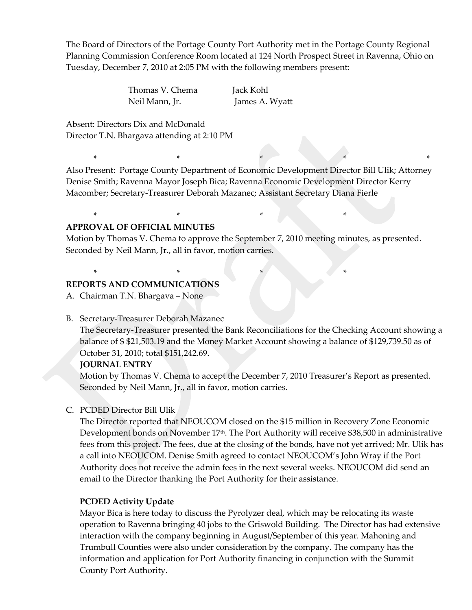The Board of Directors of the Portage County Port Authority met in the Portage County Regional Planning Commission Conference Room located at 124 North Prospect Street in Ravenna, Ohio on Tuesday, December 7, 2010 at 2:05 PM with the following members present:

> Thomas V. Chema Jack Kohl Neil Mann, Jr. James A. Wyatt

\* \* \* \* \* \* \* \* \*

Absent: Directors Dix and McDonald Director T.N. Bhargava attending at 2:10 PM

Also Present: Portage County Department of Economic Development Director Bill Ulik; Attorney Denise Smith; Ravenna Mayor Joseph Bica; Ravenna Economic Development Director Kerry Macomber; Secretary-Treasurer Deborah Mazanec; Assistant Secretary Diana Fierle

## **APPROVAL OF OFFICIAL MINUTES**

Motion by Thomas V. Chema to approve the September 7, 2010 meeting minutes, as presented. Seconded by Neil Mann, Jr., all in favor, motion carries.

\* \* \* \*

\*  $*$   $*$   $*$   $*$   $*$   $*$   $*$   $*$   $*$ 

## **REPORTS AND COMMUNICATIONS**

A. Chairman T.N. Bhargava – None

#### B. Secretary-Treasurer Deborah Mazanec

The Secretary-Treasurer presented the Bank Reconciliations for the Checking Account showing a balance of \$ \$21,503.19 and the Money Market Account showing a balance of \$129,739.50 as of October 31, 2010; total \$151,242.69.

#### **JOURNAL ENTRY**

Motion by Thomas V. Chema to accept the December 7, 2010 Treasurer's Report as presented. Seconded by Neil Mann, Jr., all in favor, motion carries.

#### C. PCDED Director Bill Ulik

The Director reported that NEOUCOM closed on the \$15 million in Recovery Zone Economic Development bonds on November 17<sup>th</sup>. The Port Authority will receive \$38,500 in administrative fees from this project. The fees, due at the closing of the bonds, have not yet arrived; Mr. Ulik has a call into NEOUCOM. Denise Smith agreed to contact NEOUCOM's John Wray if the Port Authority does not receive the admin fees in the next several weeks. NEOUCOM did send an email to the Director thanking the Port Authority for their assistance.

#### **PCDED Activity Update**

Mayor Bica is here today to discuss the Pyrolyzer deal, which may be relocating its waste operation to Ravenna bringing 40 jobs to the Griswold Building. The Director has had extensive interaction with the company beginning in August/September of this year. Mahoning and Trumbull Counties were also under consideration by the company. The company has the information and application for Port Authority financing in conjunction with the Summit County Port Authority.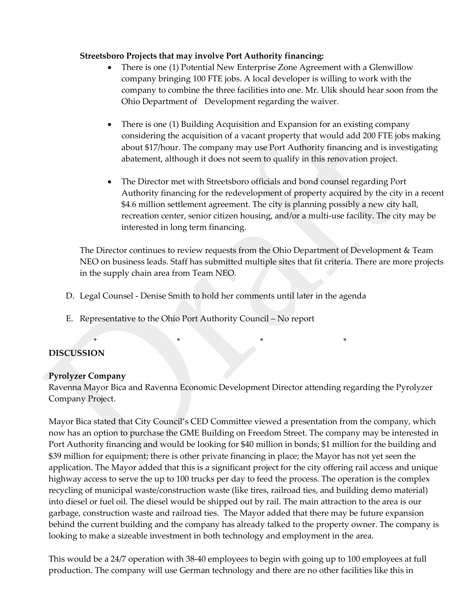### **Streetsboro Projects that may involve Port Authority financing:**

- There is one (1) Potential New Enterprise Zone Agreement with a Glenwillow company bringing 100 FTE jobs. A local developer is willing to work with the company to combine the three facilities into one. Mr. Ulik should hear soon from the Ohio Department of Development regarding the waiver.
- There is one (1) Building Acquisition and Expansion for an existing company considering the acquisition of a vacant property that would add 200 FTE jobs making about \$17/hour. The company may use Port Authority financing and is investigating abatement, although it does not seem to qualify in this renovation project.
- The Director met with Streetsboro officials and bond counsel regarding Port Authority financing for the redevelopment of property acquired by the city in a recent \$4.6 million settlement agreement. The city is planning possibly a new city hall, recreation center, senior citizen housing, and/or a multi-use facility. The city may be interested in long term financing.

The Director continues to review requests from the Ohio Department of Development & Team NEO on business leads. Staff has submitted multiple sites that fit criteria. There are more projects in the supply chain area from Team NEO.

D. Legal Counsel - Denise Smith to hold her comments until later in the agenda

\* \* \* \*

E. Representative to the Ohio Port Authority Council – No report

# **DISCUSSION**

## **Pyrolyzer Company**

Ravenna Mayor Bica and Ravenna Economic Development Director attending regarding the Pyrolyzer Company Project.

Mayor Bica stated that City Council's CED Committee viewed a presentation from the company, which now has an option to purchase the GME Building on Freedom Street. The company may be interested in Port Authority financing and would be looking for \$40 million in bonds; \$1 million for the building and \$39 million for equipment; there is other private financing in place; the Mayor has not yet seen the application. The Mayor added that this is a significant project for the city offering rail access and unique highway access to serve the up to 100 trucks per day to feed the process. The operation is the complex recycling of municipal waste/construction waste (like tires, railroad ties, and building demo material) into diesel or fuel oil. The diesel would be shipped out by rail. The main attraction to the area is our garbage, construction waste and railroad ties. The Mayor added that there may be future expansion behind the current building and the company has already talked to the property owner. The company is looking to make a sizeable investment in both technology and employment in the area.

This would be a 24/7 operation with 38-40 employees to begin with going up to 100 employees at full production. The company will use German technology and there are no other facilities like this in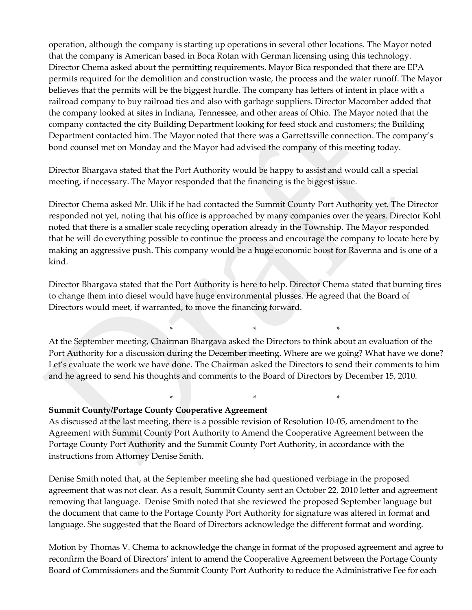operation, although the company is starting up operations in several other locations. The Mayor noted that the company is American based in Boca Rotan with German licensing using this technology. Director Chema asked about the permitting requirements. Mayor Bica responded that there are EPA permits required for the demolition and construction waste, the process and the water runoff. The Mayor believes that the permits will be the biggest hurdle. The company has letters of intent in place with a railroad company to buy railroad ties and also with garbage suppliers. Director Macomber added that the company looked at sites in Indiana, Tennessee, and other areas of Ohio. The Mayor noted that the company contacted the city Building Department looking for feed stock and customers; the Building Department contacted him. The Mayor noted that there was a Garrettsville connection. The company's bond counsel met on Monday and the Mayor had advised the company of this meeting today.

Director Bhargava stated that the Port Authority would be happy to assist and would call a special meeting, if necessary. The Mayor responded that the financing is the biggest issue.

Director Chema asked Mr. Ulik if he had contacted the Summit County Port Authority yet. The Director responded not yet, noting that his office is approached by many companies over the years. Director Kohl noted that there is a smaller scale recycling operation already in the Township. The Mayor responded that he will do everything possible to continue the process and encourage the company to locate here by making an aggressive push. This company would be a huge economic boost for Ravenna and is one of a kind.

Director Bhargava stated that the Port Authority is here to help. Director Chema stated that burning tires to change them into diesel would have huge environmental plusses. He agreed that the Board of Directors would meet, if warranted, to move the financing forward.

At the September meeting, Chairman Bhargava asked the Directors to think about an evaluation of the Port Authority for a discussion during the December meeting. Where are we going? What have we done? Let's evaluate the work we have done. The Chairman asked the Directors to send their comments to him and he agreed to send his thoughts and comments to the Board of Directors by December 15, 2010.

\* \* \*

 $*$  \*  $*$  \*  $*$ 

#### **Summit County/Portage County Cooperative Agreement**

As discussed at the last meeting, there is a possible revision of Resolution 10-05, amendment to the Agreement with Summit County Port Authority to Amend the Cooperative Agreement between the Portage County Port Authority and the Summit County Port Authority, in accordance with the instructions from Attorney Denise Smith.

Denise Smith noted that, at the September meeting she had questioned verbiage in the proposed agreement that was not clear. As a result, Summit County sent an October 22, 2010 letter and agreement removing that language. Denise Smith noted that she reviewed the proposed September language but the document that came to the Portage County Port Authority for signature was altered in format and language. She suggested that the Board of Directors acknowledge the different format and wording.

Motion by Thomas V. Chema to acknowledge the change in format of the proposed agreement and agree to reconfirm the Board of Directors' intent to amend the Cooperative Agreement between the Portage County Board of Commissioners and the Summit County Port Authority to reduce the Administrative Fee for each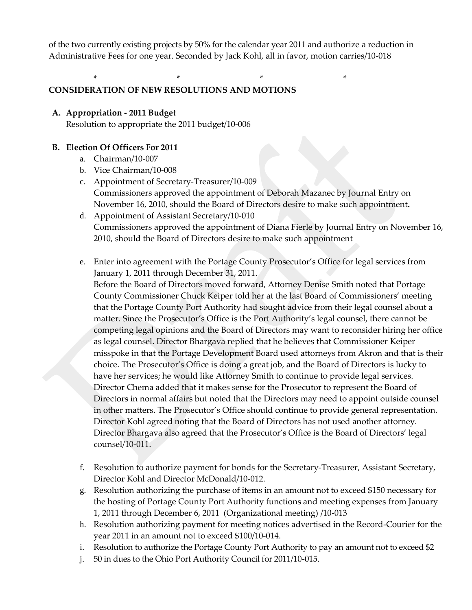of the two currently existing projects by 50% for the calendar year 2011 and authorize a reduction in Administrative Fees for one year. Seconded by Jack Kohl, all in favor, motion carries/10-018

\* \* \* \* \* \* \* \* \* \* \*

# **CONSIDERATION OF NEW RESOLUTIONS AND MOTIONS**

## **A. Appropriation - 2011 Budget**

Resolution to appropriate the 2011 budget/10-006

### **B. Election Of Officers For 2011**

- a. Chairman/10-007
- b. Vice Chairman/10-008
- c. Appointment of Secretary-Treasurer/10-009 Commissioners approved the appointment of Deborah Mazanec by Journal Entry on November 16, 2010, should the Board of Directors desire to make such appointment**.**
- d. Appointment of Assistant Secretary/10-010 Commissioners approved the appointment of Diana Fierle by Journal Entry on November 16, 2010, should the Board of Directors desire to make such appointment
- e. Enter into agreement with the Portage County Prosecutor's Office for legal services from January 1, 2011 through December 31, 2011.

Before the Board of Directors moved forward, Attorney Denise Smith noted that Portage County Commissioner Chuck Keiper told her at the last Board of Commissioners' meeting that the Portage County Port Authority had sought advice from their legal counsel about a matter. Since the Prosecutor's Office is the Port Authority's legal counsel, there cannot be competing legal opinions and the Board of Directors may want to reconsider hiring her office as legal counsel. Director Bhargava replied that he believes that Commissioner Keiper misspoke in that the Portage Development Board used attorneys from Akron and that is their choice. The Prosecutor's Office is doing a great job, and the Board of Directors is lucky to have her services; he would like Attorney Smith to continue to provide legal services. Director Chema added that it makes sense for the Prosecutor to represent the Board of Directors in normal affairs but noted that the Directors may need to appoint outside counsel in other matters. The Prosecutor's Office should continue to provide general representation. Director Kohl agreed noting that the Board of Directors has not used another attorney. Director Bhargava also agreed that the Prosecutor's Office is the Board of Directors' legal counsel/10-011.

- f. Resolution to authorize payment for bonds for the Secretary-Treasurer, Assistant Secretary, Director Kohl and Director McDonald/10-012.
- g. Resolution authorizing the purchase of items in an amount not to exceed \$150 necessary for the hosting of Portage County Port Authority functions and meeting expenses from January 1, 2011 through December 6, 2011 (Organizational meeting) /10-013
- h. Resolution authorizing payment for meeting notices advertised in the Record-Courier for the year 2011 in an amount not to exceed \$100/10-014.
- i. Resolution to authorize the Portage County Port Authority to pay an amount not to exceed \$2
- j. 50 in dues to the Ohio Port Authority Council for 2011/10-015.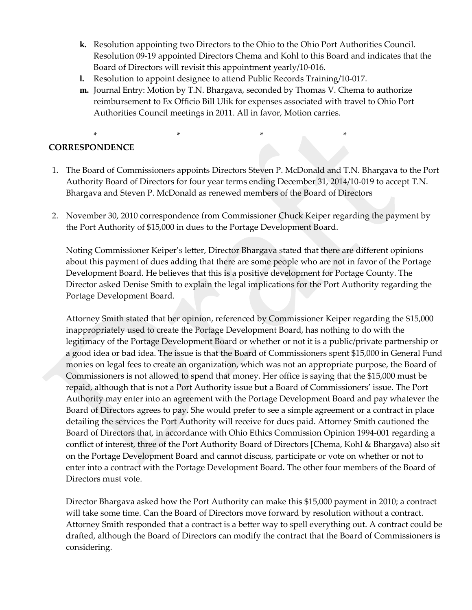- **k.** Resolution appointing two Directors to the Ohio to the Ohio Port Authorities Council. Resolution 09-19 appointed Directors Chema and Kohl to this Board and indicates that the Board of Directors will revisit this appointment yearly/10-016.
- **l.** Resolution to appoint designee to attend Public Records Training/10-017.
- **m.** Journal Entry: Motion by T.N. Bhargava, seconded by Thomas V. Chema to authorize reimbursement to Ex Officio Bill Ulik for expenses associated with travel to Ohio Port Authorities Council meetings in 2011. All in favor, Motion carries.

#### \* \* \* \* **CORRESPONDENCE**

- 1. The Board of Commissioners appoints Directors Steven P. McDonald and T.N. Bhargava to the Port Authority Board of Directors for four year terms ending December 31, 2014/10-019 to accept T.N. Bhargava and Steven P. McDonald as renewed members of the Board of Directors
- 2. November 30, 2010 correspondence from Commissioner Chuck Keiper regarding the payment by the Port Authority of \$15,000 in dues to the Portage Development Board.

Noting Commissioner Keiper's letter, Director Bhargava stated that there are different opinions about this payment of dues adding that there are some people who are not in favor of the Portage Development Board. He believes that this is a positive development for Portage County. The Director asked Denise Smith to explain the legal implications for the Port Authority regarding the Portage Development Board.

Attorney Smith stated that her opinion, referenced by Commissioner Keiper regarding the \$15,000 inappropriately used to create the Portage Development Board, has nothing to do with the legitimacy of the Portage Development Board or whether or not it is a public/private partnership or a good idea or bad idea. The issue is that the Board of Commissioners spent \$15,000 in General Fund monies on legal fees to create an organization, which was not an appropriate purpose, the Board of Commissioners is not allowed to spend that money. Her office is saying that the \$15,000 must be repaid, although that is not a Port Authority issue but a Board of Commissioners' issue. The Port Authority may enter into an agreement with the Portage Development Board and pay whatever the Board of Directors agrees to pay. She would prefer to see a simple agreement or a contract in place detailing the services the Port Authority will receive for dues paid. Attorney Smith cautioned the Board of Directors that, in accordance with Ohio Ethics Commission Opinion 1994-001 regarding a conflict of interest, three of the Port Authority Board of Directors [Chema, Kohl & Bhargava) also sit on the Portage Development Board and cannot discuss, participate or vote on whether or not to enter into a contract with the Portage Development Board. The other four members of the Board of Directors must vote.

Director Bhargava asked how the Port Authority can make this \$15,000 payment in 2010; a contract will take some time. Can the Board of Directors move forward by resolution without a contract. Attorney Smith responded that a contract is a better way to spell everything out. A contract could be drafted, although the Board of Directors can modify the contract that the Board of Commissioners is considering.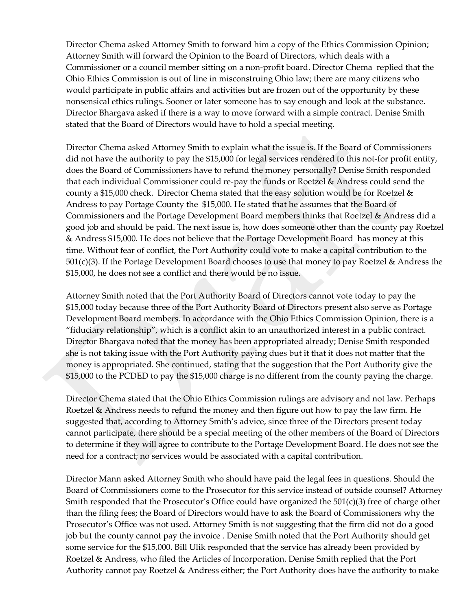Director Chema asked Attorney Smith to forward him a copy of the Ethics Commission Opinion; Attorney Smith will forward the Opinion to the Board of Directors, which deals with a Commissioner or a council member sitting on a non-profit board. Director Chema replied that the Ohio Ethics Commission is out of line in misconstruing Ohio law; there are many citizens who would participate in public affairs and activities but are frozen out of the opportunity by these nonsensical ethics rulings. Sooner or later someone has to say enough and look at the substance. Director Bhargava asked if there is a way to move forward with a simple contract. Denise Smith stated that the Board of Directors would have to hold a special meeting.

Director Chema asked Attorney Smith to explain what the issue is. If the Board of Commissioners did not have the authority to pay the \$15,000 for legal services rendered to this not-for profit entity, does the Board of Commissioners have to refund the money personally? Denise Smith responded that each individual Commissioner could re-pay the funds or Roetzel & Andress could send the county a \$15,000 check. Director Chema stated that the easy solution would be for Roetzel  $\&$ Andress to pay Portage County the \$15,000. He stated that he assumes that the Board of Commissioners and the Portage Development Board members thinks that Roetzel & Andress did a good job and should be paid. The next issue is, how does someone other than the county pay Roetzel & Andress \$15,000. He does not believe that the Portage Development Board has money at this time. Without fear of conflict, the Port Authority could vote to make a capital contribution to the 501(c)(3). If the Portage Development Board chooses to use that money to pay Roetzel & Andress the \$15,000, he does not see a conflict and there would be no issue.

Attorney Smith noted that the Port Authority Board of Directors cannot vote today to pay the \$15,000 today because three of the Port Authority Board of Directors present also serve as Portage Development Board members. In accordance with the Ohio Ethics Commission Opinion, there is a "fiduciary relationship", which is a conflict akin to an unauthorized interest in a public contract. Director Bhargava noted that the money has been appropriated already; Denise Smith responded she is not taking issue with the Port Authority paying dues but it that it does not matter that the money is appropriated. She continued, stating that the suggestion that the Port Authority give the \$15,000 to the PCDED to pay the \$15,000 charge is no different from the county paying the charge.

Director Chema stated that the Ohio Ethics Commission rulings are advisory and not law. Perhaps Roetzel & Andress needs to refund the money and then figure out how to pay the law firm. He suggested that, according to Attorney Smith's advice, since three of the Directors present today cannot participate, there should be a special meeting of the other members of the Board of Directors to determine if they will agree to contribute to the Portage Development Board. He does not see the need for a contract; no services would be associated with a capital contribution.

Director Mann asked Attorney Smith who should have paid the legal fees in questions. Should the Board of Commissioners come to the Prosecutor for this service instead of outside counsel? Attorney Smith responded that the Prosecutor's Office could have organized the  $501(c)(3)$  free of charge other than the filing fees; the Board of Directors would have to ask the Board of Commissioners why the Prosecutor's Office was not used. Attorney Smith is not suggesting that the firm did not do a good job but the county cannot pay the invoice . Denise Smith noted that the Port Authority should get some service for the \$15,000. Bill Ulik responded that the service has already been provided by Roetzel & Andress, who filed the Articles of Incorporation. Denise Smith replied that the Port Authority cannot pay Roetzel & Andress either; the Port Authority does have the authority to make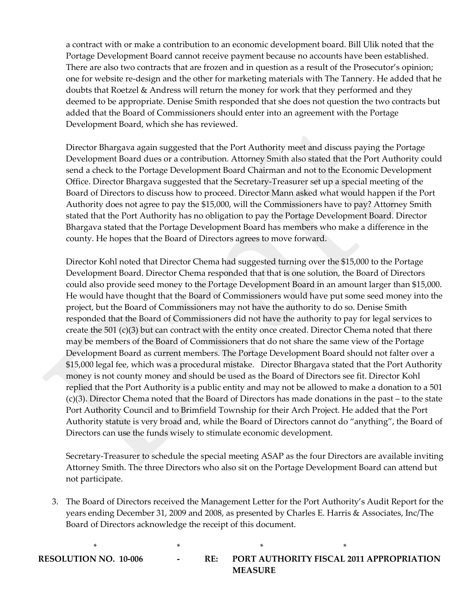a contract with or make a contribution to an economic development board. Bill Ulik noted that the Portage Development Board cannot receive payment because no accounts have been established. There are also two contracts that are frozen and in question as a result of the Prosecutor's opinion; one for website re-design and the other for marketing materials with The Tannery. He added that he doubts that Roetzel & Andress will return the money for work that they performed and they deemed to be appropriate. Denise Smith responded that she does not question the two contracts but added that the Board of Commissioners should enter into an agreement with the Portage Development Board, which she has reviewed.

Director Bhargava again suggested that the Port Authority meet and discuss paying the Portage Development Board dues or a contribution. Attorney Smith also stated that the Port Authority could send a check to the Portage Development Board Chairman and not to the Economic Development Office. Director Bhargava suggested that the Secretary-Treasurer set up a special meeting of the Board of Directors to discuss how to proceed. Director Mann asked what would happen if the Port Authority does not agree to pay the \$15,000, will the Commissioners have to pay? Attorney Smith stated that the Port Authority has no obligation to pay the Portage Development Board. Director Bhargava stated that the Portage Development Board has members who make a difference in the county. He hopes that the Board of Directors agrees to move forward.

Director Kohl noted that Director Chema had suggested turning over the \$15,000 to the Portage Development Board. Director Chema responded that that is one solution, the Board of Directors could also provide seed money to the Portage Development Board in an amount larger than \$15,000. He would have thought that the Board of Commissioners would have put some seed money into the project, but the Board of Commissioners may not have the authority to do so. Denise Smith responded that the Board of Commissioners did not have the authority to pay for legal services to create the 501 (c)(3) but can contract with the entity once created. Director Chema noted that there may be members of the Board of Commissioners that do not share the same view of the Portage Development Board as current members. The Portage Development Board should not falter over a \$15,000 legal fee, which was a procedural mistake. Director Bhargava stated that the Port Authority money is not county money and should be used as the Board of Directors see fit. Director Kohl replied that the Port Authority is a public entity and may not be allowed to make a donation to a 501 (c)(3). Director Chema noted that the Board of Directors has made donations in the past – to the state Port Authority Council and to Brimfield Township for their Arch Project. He added that the Port Authority statute is very broad and, while the Board of Directors cannot do "anything", the Board of Directors can use the funds wisely to stimulate economic development.

Secretary-Treasurer to schedule the special meeting ASAP as the four Directors are available inviting Attorney Smith. The three Directors who also sit on the Portage Development Board can attend but not participate.

3. The Board of Directors received the Management Letter for the Port Authority's Audit Report for the years ending December 31, 2009 and 2008, as presented by Charles E. Harris & Associates, Inc/The Board of Directors acknowledge the receipt of this document.

 $*$  \*  $*$  \*  $*$  \*

**RESOLUTION NO. 10-006 - RE: PORT AUTHORITY FISCAL 2011 APPROPRIATION MEASURE**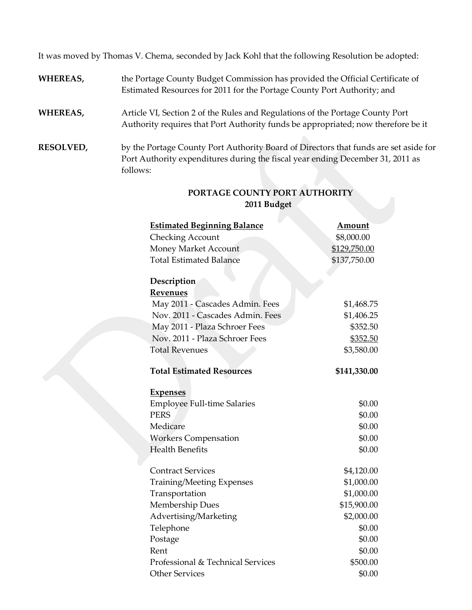It was moved by Thomas V. Chema, seconded by Jack Kohl that the following Resolution be adopted:

- **WHEREAS,** the Portage County Budget Commission has provided the Official Certificate of Estimated Resources for 2011 for the Portage County Port Authority; and
- **WHEREAS,** Article VI, Section 2 of the Rules and Regulations of the Portage County Port Authority requires that Port Authority funds be appropriated; now therefore be it
- **RESOLVED,** by the Portage County Port Authority Board of Directors that funds are set aside for Port Authority expenditures during the fiscal year ending December 31, 2011 as follows:

| <b>Estimated Beginning Balance</b> | <b>Amount</b> |
|------------------------------------|---------------|
| <b>Checking Account</b>            | \$8,000.00    |
| Money Market Account               | \$129,750.00  |
| <b>Total Estimated Balance</b>     | \$137,750.00  |
|                                    |               |
| Description                        |               |
| <b>Revenues</b>                    |               |
| May 2011 - Cascades Admin. Fees    | \$1,468.75    |
| Nov. 2011 - Cascades Admin. Fees   | \$1,406.25    |
| May 2011 - Plaza Schroer Fees      | \$352.50      |
| Nov. 2011 - Plaza Schroer Fees     | \$352.50      |
| <b>Total Revenues</b>              | \$3,580.00    |
| <b>Total Estimated Resources</b>   | \$141,330.00  |
|                                    |               |
| <b>Expenses</b>                    |               |
| <b>Employee Full-time Salaries</b> | \$0.00        |
| <b>PERS</b>                        | \$0.00        |
| Medicare                           | \$0.00        |
| <b>Workers Compensation</b>        | \$0.00        |
| <b>Health Benefits</b>             | \$0.00        |
| <b>Contract Services</b>           |               |
|                                    | \$4,120.00    |
| Training/Meeting Expenses          | \$1,000.00    |
| Transportation                     | \$1,000.00    |
| <b>Membership Dues</b>             | \$15,900.00   |
| Advertising/Marketing              | \$2,000.00    |
| Telephone                          | \$0.00        |
| Postage                            | \$0.00        |
| Rent                               | \$0.00        |
| Professional & Technical Services  | \$500.00      |
| <b>Other Services</b>              | \$0.00        |

## **PORTAGE COUNTY PORT AUTHORITY 2011 Budget**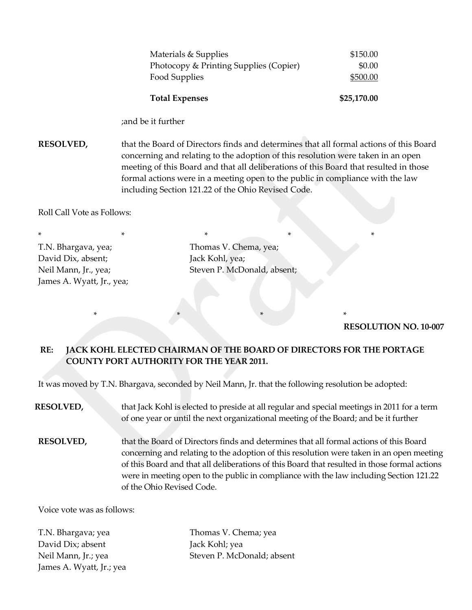| Materials & Supplies                   | \$150.00    |
|----------------------------------------|-------------|
| Photocopy & Printing Supplies (Copier) | \$0.00      |
| Food Supplies                          | \$500.00    |
|                                        |             |
| <b>Total Expenses</b>                  | \$25,170.00 |

;and be it further

**RESOLVED,** that the Board of Directors finds and determines that all formal actions of this Board concerning and relating to the adoption of this resolution were taken in an open meeting of this Board and that all deliberations of this Board that resulted in those formal actions were in a meeting open to the public in compliance with the law including Section 121.22 of the Ohio Revised Code.

Roll Call Vote as Follows:

\* \* \* \* \* \* \* \* \* \* \* T.N. Bhargava, yea; Thomas V. Chema, yea; David Dix, absent; Jack Kohl, yea; James A. Wyatt, Jr., yea;

Neil Mann, Jr., yea; Steven P. McDonald, absent;

**RESOLUTION NO. 10-007**

# **RE: JACK KOHL ELECTED CHAIRMAN OF THE BOARD OF DIRECTORS FOR THE PORTAGE COUNTY PORT AUTHORITY FOR THE YEAR 2011.**

It was moved by T.N. Bhargava, seconded by Neil Mann, Jr. that the following resolution be adopted:

\* \* \* \* \* \* \* \* \*

- **RESOLVED,** that Jack Kohl is elected to preside at all regular and special meetings in 2011 for a term of one year or until the next organizational meeting of the Board; and be it further
- **RESOLVED,** that the Board of Directors finds and determines that all formal actions of this Board concerning and relating to the adoption of this resolution were taken in an open meeting of this Board and that all deliberations of this Board that resulted in those formal actions were in meeting open to the public in compliance with the law including Section 121.22 of the Ohio Revised Code.

Voice vote was as follows:

T.N. Bhargava; yea Thomas V. Chema; yea David Dix; absent Jack Kohl; yea James A. Wyatt, Jr.; yea

Neil Mann, Jr.; yea Steven P. McDonald; absent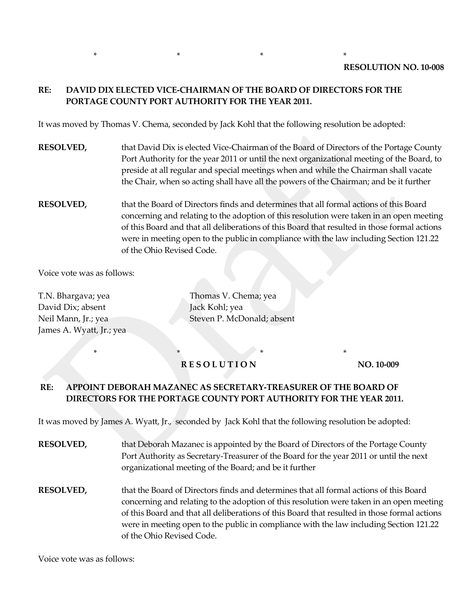## **RE: DAVID DIX ELECTED VICE-CHAIRMAN OF THE BOARD OF DIRECTORS FOR THE PORTAGE COUNTY PORT AUTHORITY FOR THE YEAR 2011.**

\* \* \* \* \* \* \* \* \* \* \*

It was moved by Thomas V. Chema, seconded by Jack Kohl that the following resolution be adopted:

- **RESOLVED,** that David Dix is elected Vice-Chairman of the Board of Directors of the Portage County Port Authority for the year 2011 or until the next organizational meeting of the Board, to preside at all regular and special meetings when and while the Chairman shall vacate the Chair, when so acting shall have all the powers of the Chairman; and be it further
- **RESOLVED,** that the Board of Directors finds and determines that all formal actions of this Board concerning and relating to the adoption of this resolution were taken in an open meeting of this Board and that all deliberations of this Board that resulted in those formal actions were in meeting open to the public in compliance with the law including Section 121.22 of the Ohio Revised Code.

Voice vote was as follows:

T.N. Bhargava; yea Thomas V. Chema; yea David Dix; absent Jack Kohl; yea James A. Wyatt, Jr.; yea

Neil Mann, Jr.; yea Steven P. McDonald; absent

## \* \* \* \* \* \* \* \* \* **RESOLUTION** NO. 10-009

## **RE: APPOINT DEBORAH MAZANEC AS SECRETARY-TREASURER OF THE BOARD OF DIRECTORS FOR THE PORTAGE COUNTY PORT AUTHORITY FOR THE YEAR 2011.**

It was moved by James A. Wyatt, Jr., seconded by Jack Kohl that the following resolution be adopted:

| <b>RESOLVED,</b> | that Deborah Mazanec is appointed by the Board of Directors of the Portage County<br>Port Authority as Secretary-Treasurer of the Board for the year 2011 or until the next<br>organizational meeting of the Board; and be it further                                                                                                                                                                     |
|------------------|-----------------------------------------------------------------------------------------------------------------------------------------------------------------------------------------------------------------------------------------------------------------------------------------------------------------------------------------------------------------------------------------------------------|
| <b>RESOLVED,</b> | that the Board of Directors finds and determines that all formal actions of this Board<br>concerning and relating to the adoption of this resolution were taken in an open meeting<br>of this Board and that all deliberations of this Board that resulted in those formal actions<br>were in meeting open to the public in compliance with the law including Section 121.22<br>of the Ohio Revised Code. |

Voice vote was as follows: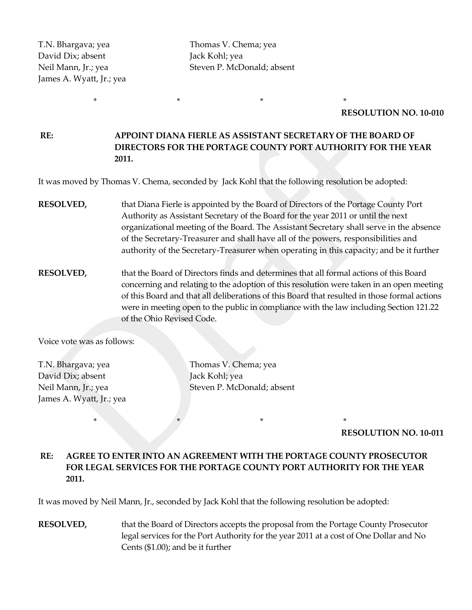David Dix; absent Jack Kohl; yea James A. Wyatt, Jr.; yea

T.N. Bhargava; yea Thomas V. Chema; yea Neil Mann, Jr.; yea Steven P. McDonald; absent

#### **RESOLUTION NO. 10-010**

**RE: APPOINT DIANA FIERLE AS ASSISTANT SECRETARY OF THE BOARD OF DIRECTORS FOR THE PORTAGE COUNTY PORT AUTHORITY FOR THE YEAR 2011.**

It was moved by Thomas V. Chema, seconded by Jack Kohl that the following resolution be adopted:

\* \* \* \* \* \* \* \* \* \* \*

- **RESOLVED,** that Diana Fierle is appointed by the Board of Directors of the Portage County Port Authority as Assistant Secretary of the Board for the year 2011 or until the next organizational meeting of the Board. The Assistant Secretary shall serve in the absence of the Secretary-Treasurer and shall have all of the powers, responsibilities and authority of the Secretary-Treasurer when operating in this capacity; and be it further
- **RESOLVED,** that the Board of Directors finds and determines that all formal actions of this Board concerning and relating to the adoption of this resolution were taken in an open meeting of this Board and that all deliberations of this Board that resulted in those formal actions were in meeting open to the public in compliance with the law including Section 121.22 of the Ohio Revised Code.

Voice vote was as follows:

David Dix; absent Jack Kohl; yea James A. Wyatt, Jr.; yea

T.N. Bhargava; yea Thomas V. Chema; yea Neil Mann, Jr.; yea Steven P. McDonald; absent

**RESOLUTION NO. 10-011**

## **RE: AGREE TO ENTER INTO AN AGREEMENT WITH THE PORTAGE COUNTY PROSECUTOR FOR LEGAL SERVICES FOR THE PORTAGE COUNTY PORT AUTHORITY FOR THE YEAR 2011.**

It was moved by Neil Mann, Jr., seconded by Jack Kohl that the following resolution be adopted:

\* \* \* \*

**RESOLVED,** that the Board of Directors accepts the proposal from the Portage County Prosecutor legal services for the Port Authority for the year 2011 at a cost of One Dollar and No Cents (\$1.00); and be it further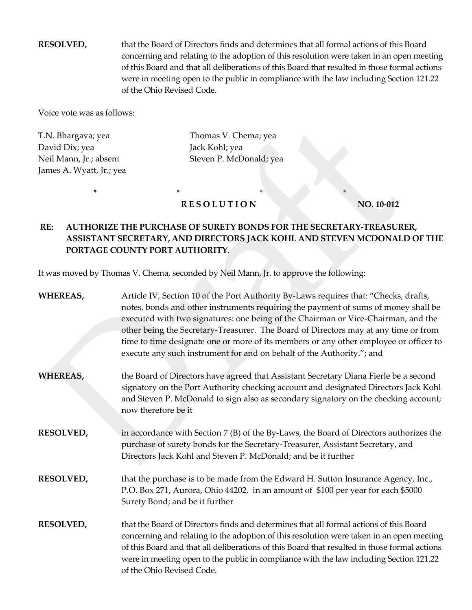**RESOLVED,** that the Board of Directors finds and determines that all formal actions of this Board concerning and relating to the adoption of this resolution were taken in an open meeting of this Board and that all deliberations of this Board that resulted in those formal actions were in meeting open to the public in compliance with the law including Section 121.22 of the Ohio Revised Code.

Voice vote was as follows:

T.N. Bhargava; yea Thomas V. Chema; yea David Dix; yea Jack Kohl; yea James A. Wyatt, Jr.; yea

Neil Mann, Jr.; absent Steven P. McDonald; yea

## \* \* \* \* \* \* \* \* \* \* \* **RESOLUTION NO. 10-012**

# **RE: AUTHORIZE THE PURCHASE OF SURETY BONDS FOR THE SECRETARY-TREASURER, ASSISTANT SECRETARY, AND DIRECTORS JACK KOHL AND STEVEN MCDONALD OF THE PORTAGE COUNTY PORT AUTHORITY.**

It was moved by Thomas V. Chema, seconded by Neil Mann, Jr. to approve the following:

| WHEREAS,         | Article IV, Section 10 of the Port Authority By-Laws requires that: "Checks, drafts,<br>notes, bonds and other instruments requiring the payment of sums of money shall be<br>executed with two signatures: one being of the Chairman or Vice-Chairman, and the<br>other being the Secretary-Treasurer. The Board of Directors may at any time or from<br>time to time designate one or more of its members or any other employee or officer to<br>execute any such instrument for and on behalf of the Authority."; and |
|------------------|--------------------------------------------------------------------------------------------------------------------------------------------------------------------------------------------------------------------------------------------------------------------------------------------------------------------------------------------------------------------------------------------------------------------------------------------------------------------------------------------------------------------------|
| <b>WHEREAS,</b>  | the Board of Directors have agreed that Assistant Secretary Diana Fierle be a second<br>signatory on the Port Authority checking account and designated Directors Jack Kohl<br>and Steven P. McDonald to sign also as secondary signatory on the checking account;<br>now therefore be it                                                                                                                                                                                                                                |
| <b>RESOLVED,</b> | in accordance with Section 7 (B) of the By-Laws, the Board of Directors authorizes the<br>purchase of surety bonds for the Secretary-Treasurer, Assistant Secretary, and<br>Directors Jack Kohl and Steven P. McDonald; and be it further                                                                                                                                                                                                                                                                                |
| <b>RESOLVED,</b> | that the purchase is to be made from the Edward H. Sutton Insurance Agency, Inc.,<br>P.O. Box 271, Aurora, Ohio 44202, in an amount of \$100 per year for each \$5000<br>Surety Bond; and be it further                                                                                                                                                                                                                                                                                                                  |
| <b>RESOLVED,</b> | that the Board of Directors finds and determines that all formal actions of this Board<br>concerning and relating to the adoption of this resolution were taken in an open meeting<br>of this Board and that all deliberations of this Board that resulted in those formal actions<br>were in meeting open to the public in compliance with the law including Section 121.22<br>of the Ohio Revised Code.                                                                                                                |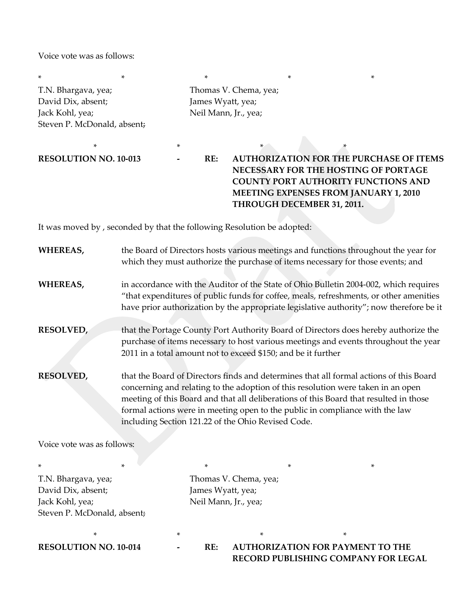Voice vote was as follows:

\* \* \* \* \* T.N. Bhargava, yea; Thomas V. Chema, yea; David Dix, absent; James Wyatt, yea; Jack Kohl, yea;  $\qquad \qquad$  Neil Mann, Jr., yea; Steven P. McDonald, absent;

 $*$   $*$   $*$   $*$   $*$   $*$   $*$   $*$   $*$ 

**RESOLUTION NO. 10-013 - RE: AUTHORIZATION FOR THE PURCHASE OF ITEMS NECESSARY FOR THE HOSTING OF PORTAGE COUNTY PORT AUTHORITY FUNCTIONS AND MEETING EXPENSES FROM JANUARY 1, 2010 THROUGH DECEMBER 31, 2011.** 

It was moved by , seconded by that the following Resolution be adopted:

| WHEREAS,                                                                                    | the Board of Directors hosts various meetings and functions throughout the year for<br>which they must authorize the purchase of items necessary for those events; and                                                                                                                                                                                                                                    |                                                                    |   |   |                                         |  |
|---------------------------------------------------------------------------------------------|-----------------------------------------------------------------------------------------------------------------------------------------------------------------------------------------------------------------------------------------------------------------------------------------------------------------------------------------------------------------------------------------------------------|--------------------------------------------------------------------|---|---|-----------------------------------------|--|
| WHEREAS,                                                                                    | in accordance with the Auditor of the State of Ohio Bulletin 2004-002, which requires<br>"that expenditures of public funds for coffee, meals, refreshments, or other amenities<br>have prior authorization by the appropriate legislative authority"; now therefore be it                                                                                                                                |                                                                    |   |   |                                         |  |
| <b>RESOLVED,</b>                                                                            | that the Portage County Port Authority Board of Directors does hereby authorize the<br>purchase of items necessary to host various meetings and events throughout the year<br>2011 in a total amount not to exceed \$150; and be it further                                                                                                                                                               |                                                                    |   |   |                                         |  |
| <b>RESOLVED,</b>                                                                            | that the Board of Directors finds and determines that all formal actions of this Board<br>concerning and relating to the adoption of this resolution were taken in an open<br>meeting of this Board and that all deliberations of this Board that resulted in those<br>formal actions were in meeting open to the public in compliance with the law<br>including Section 121.22 of the Ohio Revised Code. |                                                                    |   |   |                                         |  |
| Voice vote was as follows:                                                                  |                                                                                                                                                                                                                                                                                                                                                                                                           |                                                                    |   |   |                                         |  |
|                                                                                             | *                                                                                                                                                                                                                                                                                                                                                                                                         | *                                                                  |   | * | *                                       |  |
| T.N. Bhargava, yea;<br>David Dix, absent;<br>Jack Kohl, yea;<br>Steven P. McDonald, absent; |                                                                                                                                                                                                                                                                                                                                                                                                           | Thomas V. Chema, yea;<br>James Wyatt, yea;<br>Neil Mann, Jr., yea; |   |   |                                         |  |
|                                                                                             | *                                                                                                                                                                                                                                                                                                                                                                                                         |                                                                    | * |   | *                                       |  |
| <b>RESOLUTION NO. 10-014</b>                                                                |                                                                                                                                                                                                                                                                                                                                                                                                           | RE:                                                                |   |   | <b>AUTHORIZATION FOR PAYMENT TO THE</b> |  |

**RECORD PUBLISHING COMPANY FOR LEGAL**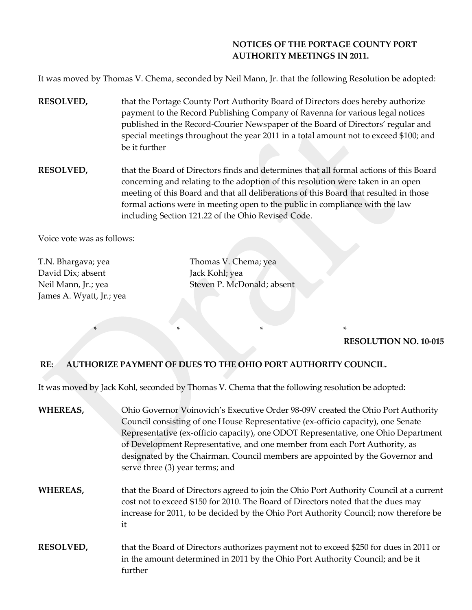## **NOTICES OF THE PORTAGE COUNTY PORT AUTHORITY MEETINGS IN 2011.**

It was moved by Thomas V. Chema, seconded by Neil Mann, Jr. that the following Resolution be adopted:

- **RESOLVED,** that the Portage County Port Authority Board of Directors does hereby authorize payment to the Record Publishing Company of Ravenna for various legal notices published in the Record-Courier Newspaper of the Board of Directors' regular and special meetings throughout the year 2011 in a total amount not to exceed \$100; and be it further
- **RESOLVED,** that the Board of Directors finds and determines that all formal actions of this Board concerning and relating to the adoption of this resolution were taken in an open meeting of this Board and that all deliberations of this Board that resulted in those formal actions were in meeting open to the public in compliance with the law including Section 121.22 of the Ohio Revised Code.

Voice vote was as follows:

T.N. Bhargava; yea Thomas V. Chema; yea David Dix; absent Jack Kohl; yea James A. Wyatt, Jr.; yea

Neil Mann, Jr.; yea Steven P. McDonald; absent

## **RESOLUTION NO. 10-015**

## **RE: AUTHORIZE PAYMENT OF DUES TO THE OHIO PORT AUTHORITY COUNCIL.**

\* \* \* \* \* \* \* \* \*

It was moved by Jack Kohl, seconded by Thomas V. Chema that the following resolution be adopted:

| WHEREAS,         | Ohio Governor Voinovich's Executive Order 98-09V created the Ohio Port Authority<br>Council consisting of one House Representative (ex-officio capacity), one Senate<br>Representative (ex-officio capacity), one ODOT Representative, one Ohio Department<br>of Development Representative, and one member from each Port Authority, as<br>designated by the Chairman. Council members are appointed by the Governor and<br>serve three (3) year terms; and |
|------------------|--------------------------------------------------------------------------------------------------------------------------------------------------------------------------------------------------------------------------------------------------------------------------------------------------------------------------------------------------------------------------------------------------------------------------------------------------------------|
| <b>WHEREAS,</b>  | that the Board of Directors agreed to join the Ohio Port Authority Council at a current<br>cost not to exceed \$150 for 2010. The Board of Directors noted that the dues may<br>increase for 2011, to be decided by the Ohio Port Authority Council; now therefore be<br>it                                                                                                                                                                                  |
| <b>RESOLVED,</b> | that the Board of Directors authorizes payment not to exceed \$250 for dues in 2011 or<br>in the amount determined in 2011 by the Ohio Port Authority Council; and be it<br>further                                                                                                                                                                                                                                                                          |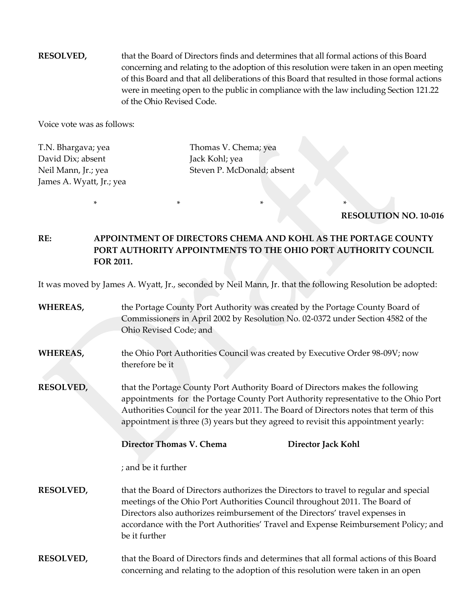**RESOLVED,** that the Board of Directors finds and determines that all formal actions of this Board concerning and relating to the adoption of this resolution were taken in an open meeting of this Board and that all deliberations of this Board that resulted in those formal actions were in meeting open to the public in compliance with the law including Section 121.22 of the Ohio Revised Code.

Voice vote was as follows:

David Dix; absent Jack Kohl; yea James A. Wyatt, Jr.; yea

T.N. Bhargava; yea Thomas V. Chema; yea Neil Mann, Ir.; yea Steven P. McDonald; absent

**RESOLUTION NO. 10-016**

**RE: APPOINTMENT OF DIRECTORS CHEMA AND KOHL AS THE PORTAGE COUNTY PORT AUTHORITY APPOINTMENTS TO THE OHIO PORT AUTHORITY COUNCIL FOR 2011.** 

\* \* \* \*

It was moved by James A. Wyatt, Jr., seconded by Neil Mann, Jr. that the following Resolution be adopted:

| <b>WHEREAS,</b>  | the Portage County Port Authority was created by the Portage County Board of<br>Commissioners in April 2002 by Resolution No. 02-0372 under Section 4582 of the<br>Ohio Revised Code; and                                                                                                                                                                   |  |  |
|------------------|-------------------------------------------------------------------------------------------------------------------------------------------------------------------------------------------------------------------------------------------------------------------------------------------------------------------------------------------------------------|--|--|
| WHEREAS,         | the Ohio Port Authorities Council was created by Executive Order 98-09V; now<br>therefore be it                                                                                                                                                                                                                                                             |  |  |
| <b>RESOLVED,</b> | that the Portage County Port Authority Board of Directors makes the following<br>appointments for the Portage County Port Authority representative to the Ohio Port<br>Authorities Council for the year 2011. The Board of Directors notes that term of this<br>appointment is three (3) years but they agreed to revisit this appointment yearly:          |  |  |
|                  | Director Thomas V. Chema<br>Director Jack Kohl                                                                                                                                                                                                                                                                                                              |  |  |
|                  | ; and be it further                                                                                                                                                                                                                                                                                                                                         |  |  |
| <b>RESOLVED,</b> | that the Board of Directors authorizes the Directors to travel to regular and special<br>meetings of the Ohio Port Authorities Council throughout 2011. The Board of<br>Directors also authorizes reimbursement of the Directors' travel expenses in<br>accordance with the Port Authorities' Travel and Expense Reimbursement Policy; and<br>be it further |  |  |
| <b>RESOLVED,</b> | that the Board of Directors finds and determines that all formal actions of this Board<br>concerning and relating to the adoption of this resolution were taken in an open                                                                                                                                                                                  |  |  |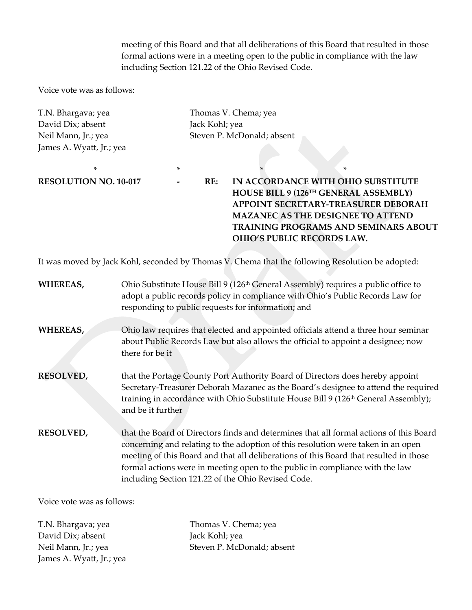meeting of this Board and that all deliberations of this Board that resulted in those formal actions were in a meeting open to the public in compliance with the law including Section 121.22 of the Ohio Revised Code.

Voice vote was as follows:

T.N. Bhargava; yea Thomas V. Chema; yea David Dix; absent Jack Kohl; yea James A. Wyatt, Jr.; yea

Neil Mann, Jr.; yea Steven P. McDonald; absent

 $*$   $*$   $*$ **RESOLUTION NO. 10-017 - RE: IN ACCORDANCE WITH OHIO SUBSTITUTE HOUSE BILL 9 (126TH GENERAL ASSEMBLY) APPOINT SECRETARY-TREASURER DEBORAH MAZANEC AS THE DESIGNEE TO ATTEND TRAINING PROGRAMS AND SEMINARS ABOUT OHIO'S PUBLIC RECORDS LAW.** 

It was moved by Jack Kohl, seconded by Thomas V. Chema that the following Resolution be adopted:

| WHEREAS,         | Ohio Substitute House Bill 9 (126 <sup>th</sup> General Assembly) requires a public office to<br>adopt a public records policy in compliance with Ohio's Public Records Law for<br>responding to public requests for information; and                                                                                                                                                                     |
|------------------|-----------------------------------------------------------------------------------------------------------------------------------------------------------------------------------------------------------------------------------------------------------------------------------------------------------------------------------------------------------------------------------------------------------|
| WHEREAS,         | Ohio law requires that elected and appointed officials attend a three hour seminar<br>about Public Records Law but also allows the official to appoint a designee; now<br>there for be it                                                                                                                                                                                                                 |
| <b>RESOLVED,</b> | that the Portage County Port Authority Board of Directors does hereby appoint<br>Secretary-Treasurer Deborah Mazanec as the Board's designee to attend the required<br>training in accordance with Ohio Substitute House Bill 9 (126 <sup>th</sup> General Assembly);<br>and be it further                                                                                                                |
| <b>RESOLVED,</b> | that the Board of Directors finds and determines that all formal actions of this Board<br>concerning and relating to the adoption of this resolution were taken in an open<br>meeting of this Board and that all deliberations of this Board that resulted in those<br>formal actions were in meeting open to the public in compliance with the law<br>including Section 121.22 of the Ohio Revised Code. |

Voice vote was as follows:

David Dix; absent Jack Kohl; yea James A. Wyatt, Jr.; yea

T.N. Bhargava; yea Thomas V. Chema; yea Neil Mann, Jr.; yea Steven P. McDonald; absent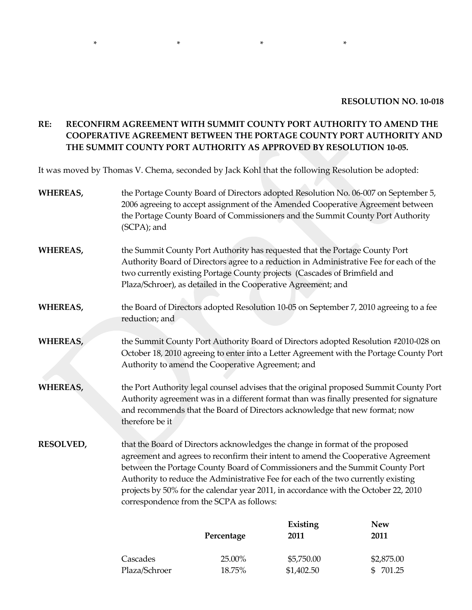#### **RESOLUTION NO. 10-018**

# **RE: RECONFIRM AGREEMENT WITH SUMMIT COUNTY PORT AUTHORITY TO AMEND THE COOPERATIVE AGREEMENT BETWEEN THE PORTAGE COUNTY PORT AUTHORITY AND THE SUMMIT COUNTY PORT AUTHORITY AS APPROVED BY RESOLUTION 10-05.**

It was moved by Thomas V. Chema, seconded by Jack Kohl that the following Resolution be adopted:

 $*$   $*$   $*$   $*$ 

| WHEREAS,                                                                                                                                                                                                                                                                                                                                                                                                                                                                                       | the Portage County Board of Directors adopted Resolution No. 06-007 on September 5,<br>2006 agreeing to accept assignment of the Amended Cooperative Agreement between<br>the Portage County Board of Commissioners and the Summit County Port Authority<br>(SCPA); and            |                                                                                                                                                                                                                                                                                                                      |                  |                                                                                        |  |
|------------------------------------------------------------------------------------------------------------------------------------------------------------------------------------------------------------------------------------------------------------------------------------------------------------------------------------------------------------------------------------------------------------------------------------------------------------------------------------------------|------------------------------------------------------------------------------------------------------------------------------------------------------------------------------------------------------------------------------------------------------------------------------------|----------------------------------------------------------------------------------------------------------------------------------------------------------------------------------------------------------------------------------------------------------------------------------------------------------------------|------------------|----------------------------------------------------------------------------------------|--|
| WHEREAS,                                                                                                                                                                                                                                                                                                                                                                                                                                                                                       |                                                                                                                                                                                                                                                                                    | the Summit County Port Authority has requested that the Portage County Port<br>Authority Board of Directors agree to a reduction in Administrative Fee for each of the<br>two currently existing Portage County projects (Cascades of Brimfield and<br>Plaza/Schroer), as detailed in the Cooperative Agreement; and |                  |                                                                                        |  |
| WHEREAS,                                                                                                                                                                                                                                                                                                                                                                                                                                                                                       | reduction; and                                                                                                                                                                                                                                                                     |                                                                                                                                                                                                                                                                                                                      |                  | the Board of Directors adopted Resolution 10-05 on September 7, 2010 agreeing to a fee |  |
| WHEREAS,                                                                                                                                                                                                                                                                                                                                                                                                                                                                                       | the Summit County Port Authority Board of Directors adopted Resolution #2010-028 on<br>October 18, 2010 agreeing to enter into a Letter Agreement with the Portage County Port<br>Authority to amend the Cooperative Agreement; and                                                |                                                                                                                                                                                                                                                                                                                      |                  |                                                                                        |  |
| <b>WHEREAS,</b>                                                                                                                                                                                                                                                                                                                                                                                                                                                                                | the Port Authority legal counsel advises that the original proposed Summit County Port<br>Authority agreement was in a different format than was finally presented for signature<br>and recommends that the Board of Directors acknowledge that new format; now<br>therefore be it |                                                                                                                                                                                                                                                                                                                      |                  |                                                                                        |  |
| that the Board of Directors acknowledges the change in format of the proposed<br><b>RESOLVED,</b><br>agreement and agrees to reconfirm their intent to amend the Cooperative Agreement<br>between the Portage County Board of Commissioners and the Summit County Port<br>Authority to reduce the Administrative Fee for each of the two currently existing<br>projects by 50% for the calendar year 2011, in accordance with the October 22, 2010<br>correspondence from the SCPA as follows: |                                                                                                                                                                                                                                                                                    |                                                                                                                                                                                                                                                                                                                      |                  |                                                                                        |  |
|                                                                                                                                                                                                                                                                                                                                                                                                                                                                                                |                                                                                                                                                                                                                                                                                    | Percentage                                                                                                                                                                                                                                                                                                           | Existing<br>2011 | <b>New</b><br>2011                                                                     |  |
|                                                                                                                                                                                                                                                                                                                                                                                                                                                                                                | Cascades                                                                                                                                                                                                                                                                           | 25.00%                                                                                                                                                                                                                                                                                                               | \$5,750.00       | \$2,875.00                                                                             |  |
|                                                                                                                                                                                                                                                                                                                                                                                                                                                                                                | Plaza/Schroer                                                                                                                                                                                                                                                                      | 18.75%                                                                                                                                                                                                                                                                                                               | \$1,402.50       | \$ 701.25                                                                              |  |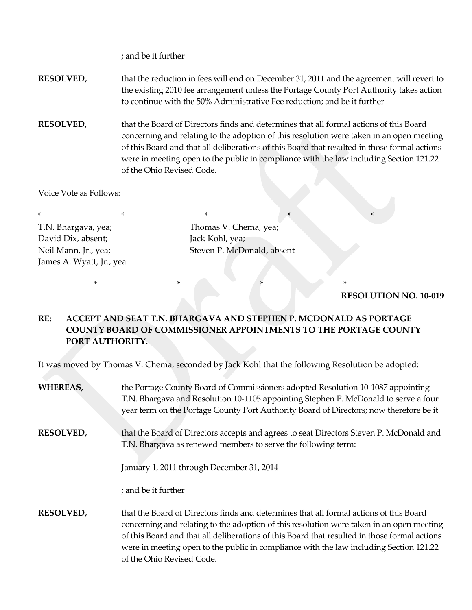; and be it further

**RESOLVED,** that the reduction in fees will end on December 31, 2011 and the agreement will revert to the existing 2010 fee arrangement unless the Portage County Port Authority takes action to continue with the 50% Administrative Fee reduction; and be it further

**RESOLVED,** that the Board of Directors finds and determines that all formal actions of this Board concerning and relating to the adoption of this resolution were taken in an open meeting of this Board and that all deliberations of this Board that resulted in those formal actions were in meeting open to the public in compliance with the law including Section 121.22 of the Ohio Revised Code.

Voice Vote as Follows:

\* \* \* \* \* \* \* \* \* \* \* T.N. Bhargava, yea; Thomas V. Chema, yea; David Dix, absent; Jack Kohl, yea; James A. Wyatt, Jr., yea

Neil Mann, Jr., yea; Steven P. McDonald, absent

#### **RESOLUTION NO. 10-019**

# **RE: ACCEPT AND SEAT T.N. BHARGAVA AND STEPHEN P. MCDONALD AS PORTAGE COUNTY BOARD OF COMMISSIONER APPOINTMENTS TO THE PORTAGE COUNTY PORT AUTHORITY.**

\* \* \* \* \* \* \* \* \* \* \* \* \*

It was moved by Thomas V. Chema, seconded by Jack Kohl that the following Resolution be adopted:

| <b>WHEREAS,</b>  | the Portage County Board of Commissioners adopted Resolution 10-1087 appointing<br>T.N. Bhargava and Resolution 10-1105 appointing Stephen P. McDonald to serve a four<br>year term on the Portage County Port Authority Board of Directors; now therefore be it                                                                                                                                          |
|------------------|-----------------------------------------------------------------------------------------------------------------------------------------------------------------------------------------------------------------------------------------------------------------------------------------------------------------------------------------------------------------------------------------------------------|
| <b>RESOLVED,</b> | that the Board of Directors accepts and agrees to seat Directors Steven P. McDonald and<br>T.N. Bhargava as renewed members to serve the following term:                                                                                                                                                                                                                                                  |
|                  | January 1, 2011 through December 31, 2014                                                                                                                                                                                                                                                                                                                                                                 |
|                  | ; and be it further                                                                                                                                                                                                                                                                                                                                                                                       |
| <b>RESOLVED,</b> | that the Board of Directors finds and determines that all formal actions of this Board<br>concerning and relating to the adoption of this resolution were taken in an open meeting<br>of this Board and that all deliberations of this Board that resulted in those formal actions<br>were in meeting open to the public in compliance with the law including Section 121.22<br>of the Ohio Revised Code. |